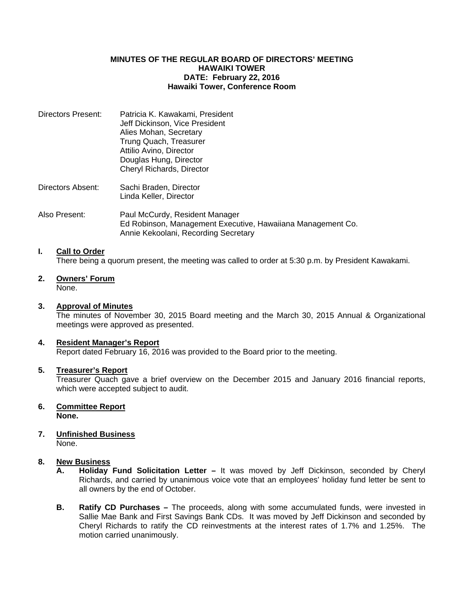## **MINUTES OF THE REGULAR BOARD OF DIRECTORS' MEETING HAWAIKI TOWER DATE: February 22, 2016 Hawaiki Tower, Conference Room**

| Directors Present: | Patricia K. Kawakami, President |
|--------------------|---------------------------------|
|                    | Jeff Dickinson, Vice President  |
|                    | Alies Mohan, Secretary          |
|                    | Trung Quach, Treasurer          |
|                    | Attilio Avino, Director         |
|                    | Douglas Hung, Director          |
|                    | Cheryl Richards, Director       |
|                    |                                 |

Directors Absent: Sachi Braden, Director Linda Keller, Director

Also Present: Paul McCurdy, Resident Manager Ed Robinson, Management Executive, Hawaiiana Management Co. Annie Kekoolani, Recording Secretary

# **I. Call to Order**

There being a quorum present, the meeting was called to order at 5:30 p.m. by President Kawakami.

**2. Owners' Forum** None.

## **3. Approval of Minutes**

 The minutes of November 30, 2015 Board meeting and the March 30, 2015 Annual & Organizational meetings were approved as presented.

### **4. Resident Manager's Report**

Report dated February 16, 2016 was provided to the Board prior to the meeting.

#### **5. Treasurer's Report**

 Treasurer Quach gave a brief overview on the December 2015 and January 2016 financial reports, which were accepted subject to audit.

- **6. Committee Report None.**
- **7. Unfinished Business**

None.

# **8. New Business**

- **A. Holiday Fund Solicitation Letter** It was moved by Jeff Dickinson, seconded by Cheryl Richards, and carried by unanimous voice vote that an employees' holiday fund letter be sent to all owners by the end of October.
- **B. Ratify CD Purchases –** The proceeds, along with some accumulated funds, were invested in Sallie Mae Bank and First Savings Bank CDs. It was moved by Jeff Dickinson and seconded by Cheryl Richards to ratify the CD reinvestments at the interest rates of 1.7% and 1.25%. The motion carried unanimously.